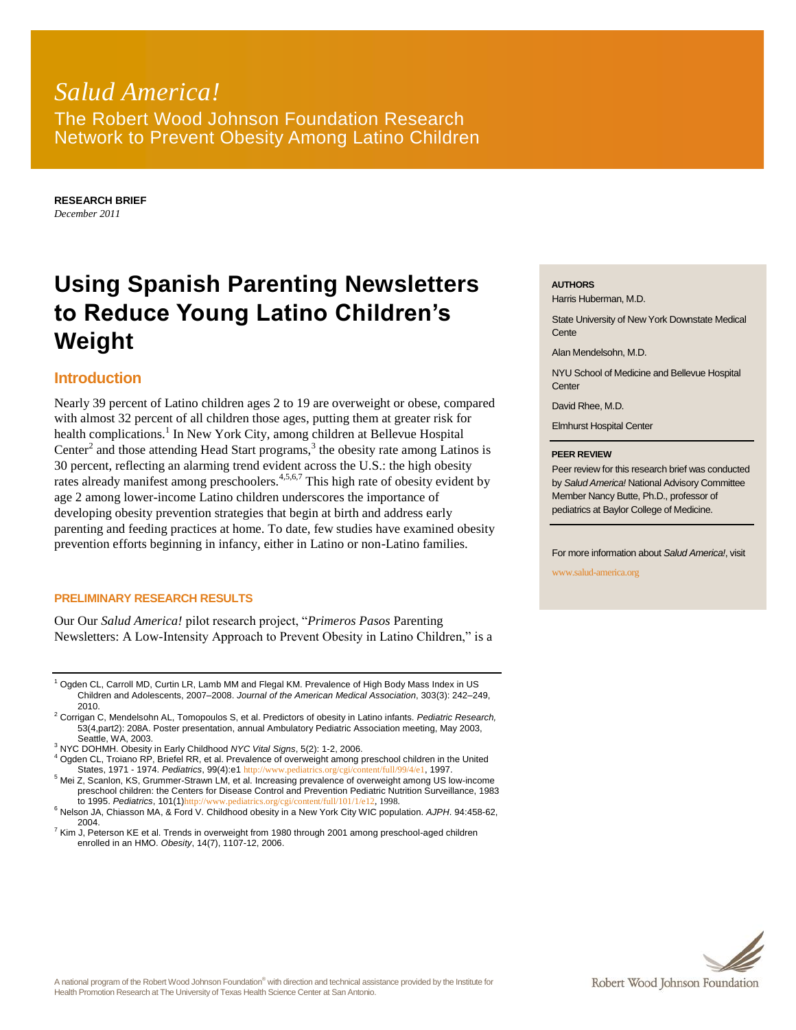# *Salud America!* The Robert Wood Johnson Foundation Research Network to Prevent Obesity Among Latino Children

**RESEARCH BRIEF** *December 2011*

# **Using Spanish Parenting Newsletters to Reduce Young Latino Children's Weight**

## **Introduction**

Nearly 39 percent of Latino children ages 2 to 19 are overweight or obese, compared with almost 32 percent of all children those ages, putting them at greater risk for health complications.<sup>1</sup> In New York City, among children at Bellevue Hospital Center<sup>2</sup> and those attending Head Start programs,<sup>3</sup> the obesity rate among Latinos is 30 percent, reflecting an alarming trend evident across the U.S.: the high obesity rates already manifest among preschoolers.<sup>4,5,6,7</sup> This high rate of obesity evident by age 2 among lower-income Latino children underscores the importance of developing obesity prevention strategies that begin at birth and address early parenting and feeding practices at home. To date, few studies have examined obesity prevention efforts beginning in infancy, either in Latino or non-Latino families.

#### **PRELIMINARY RESEARCH RESULTS**

Our Our *Salud America!* pilot research project, "*Primeros Pasos* Parenting Newsletters: A Low-Intensity Approach to Prevent Obesity in Latino Children," is a

<sup>1</sup> Ogden CL, Carroll MD, Curtin LR, Lamb MM and Flegal KM. Prevalence of High Body Mass Index in US Children and Adolescents, 2007–2008. *Journal of the American Medical Association*, 303(3): 242–249, 2010.

- <sup>2</sup> Corrigan C, Mendelsohn AL, Tomopoulos S, et al. Predictors of obesity in Latino infants. *Pediatric Research,*  53(4,part2): 208A. Poster presentation, annual Ambulatory Pediatric Association meeting, May 2003, Seattle, WA, 2003.
- <sup>3</sup> NYC DOHMH. Obesity in Early Childhood *NYC Vital Signs*, 5(2): 1-2, 2006.

<sup>4</sup> Ogden CL, Troiano RP, Briefel RR, et al. Prevalence of overweight among preschool children in the United States, 1971 - 1974. *Pediatrics*, 99(4):e1 <http://www.pediatrics.org/cgi/content/full/99/4/e1>, 1997.

<sup>5</sup> Mei Z, Scanlon, KS, Grummer-Strawn LM, et al. Increasing prevalence of overweight among US low-income preschool children: the Centers for Disease Control and Prevention Pediatric Nutrition Surveillance, 1983 to 1995. *Pediatrics*, 101(1)[http://www.pediatrics.org/cgi/content/full/101/1/e12,](http://www.pediatrics.org/cgi/content/full/101/1/e12) 1998.

 $7$  Kim J, Peterson KE et al. Trends in overweight from 1980 through 2001 among preschool-aged children enrolled in an HMO. *Obesity*, 14(7), 1107-12, 2006.

#### **AUTHORS**

Harris Huberman, M.D.

State University of New York Downstate Medical **Cente** 

Alan Mendelsohn, M.D.

NYU School of Medicine and Bellevue Hospital Center

David Rhee, M.D.

Elmhurst Hospital Center

#### **PEER REVIEW**

Peer review for this research brief was conducted by *Salud America!* National Advisory Committee Member Nancy Butte, Ph.D., professor of pediatrics at Baylor College of Medicine.

For more information about *Salud America!*, visit

www.salud-america.org



<sup>6</sup> Nelson JA, Chiasson MA, & Ford V. Childhood obesity in a New York City WIC population. *AJPH*. 94:458-62, 2004.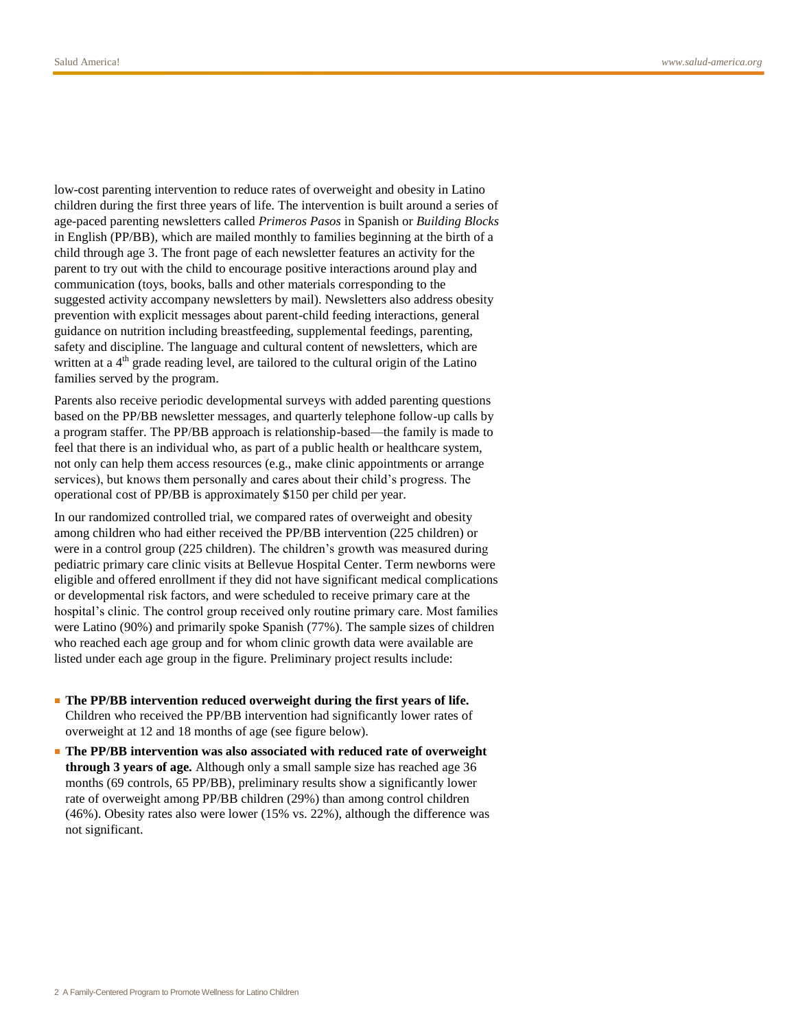low-cost parenting intervention to reduce rates of overweight and obesity in Latino children during the first three years of life. The intervention is built around a series of age-paced parenting newsletters called *Primeros Pasos* in Spanish or *Building Blocks*  in English (PP/BB)*,* which are mailed monthly to families beginning at the birth of a child through age 3. The front page of each newsletter features an activity for the parent to try out with the child to encourage positive interactions around play and communication (toys, books, balls and other materials corresponding to the suggested activity accompany newsletters by mail). Newsletters also address obesity prevention with explicit messages about parent-child feeding interactions, general guidance on nutrition including breastfeeding, supplemental feedings, parenting, safety and discipline. The language and cultural content of newsletters, which are written at a 4<sup>th</sup> grade reading level, are tailored to the cultural origin of the Latino families served by the program.

Parents also receive periodic developmental surveys with added parenting questions based on the PP/BB newsletter messages, and quarterly telephone follow-up calls by a program staffer. The PP/BB approach is relationship-based—the family is made to feel that there is an individual who, as part of a public health or healthcare system, not only can help them access resources (e.g., make clinic appointments or arrange services), but knows them personally and cares about their child's progress. The operational cost of PP/BB is approximately \$150 per child per year.

In our randomized controlled trial, we compared rates of overweight and obesity among children who had either received the PP/BB intervention (225 children) or were in a control group (225 children). The children's growth was measured during pediatric primary care clinic visits at Bellevue Hospital Center. Term newborns were eligible and offered enrollment if they did not have significant medical complications or developmental risk factors, and were scheduled to receive primary care at the hospital's clinic. The control group received only routine primary care. Most families were Latino (90%) and primarily spoke Spanish (77%). The sample sizes of children who reached each age group and for whom clinic growth data were available are listed under each age group in the figure. Preliminary project results include:

- **The PP/BB intervention reduced overweight during the first years of life.**  Children who received the PP/BB intervention had significantly lower rates of overweight at 12 and 18 months of age (see figure below).
- **The PP/BB intervention was also associated with reduced rate of overweight through 3 years of age.** Although only a small sample size has reached age 36 months (69 controls, 65 PP/BB), preliminary results show a significantly lower rate of overweight among PP/BB children (29%) than among control children (46%). Obesity rates also were lower (15% vs. 22%), although the difference was not significant.